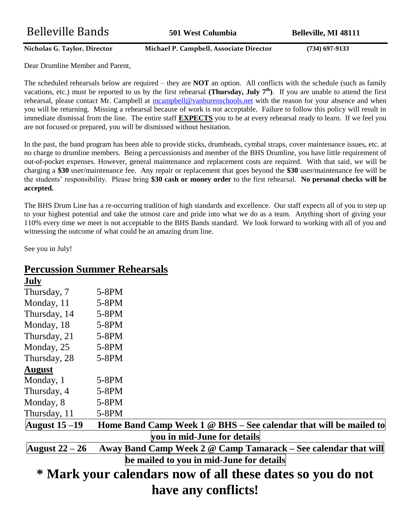**Nicholas G. Taylor, Director Michael P. Campbell, Associate Director (734) 697-9133**

Dear Drumline Member and Parent,

The scheduled rehearsals below are required – they are **NOT** an option. All conflicts with the schedule (such as family vacations, etc.) must be reported to us by the first rehearsal (**Thursday, July**  $7<sup>th</sup>$ ). If you are unable to attend the first rehearsal, please contact Mr. Campbell at [mcampbell@vanburenschools.net](mailto:mcampbell@vanburenschools.net) with the reason for your absence and when you will be returning. Missing a rehearsal because of work is not acceptable. Failure to follow this policy will result in immediate dismissal from the line. The entire staff **EXPECTS** you to be at every rehearsal ready to learn. If we feel you are not focused or prepared, you will be dismissed without hesitation.

In the past, the band program has been able to provide sticks, drumheads, cymbal straps, cover maintenance issues, etc. at no charge to drumline members. Being a percussionists and member of the BHS Drumline, you have little requirement of out-of-pocket expenses. However, general maintenance and replacement costs are required. With that said, we will be charging a **\$30** user/maintenance fee. Any repair or replacement that goes beyond the **\$30** user/maintenance fee will be the students' responsibility. Please bring **\$30 cash or money order** to the first rehearsal. **No personal checks will be accepted.** 

The BHS Drum Line has a re-occurring tradition of high standards and excellence. Our staff expects all of you to step up to your highest potential and take the utmost care and pride into what we do as a team. Anything short of giving your 110% every time we meet is not acceptable to the BHS Bands standard. We look forward to working with all of you and witnessing the outcome of what could be an amazing drum line.

See you in July!

## **Percussion Summer Rehearsals**

| July                 |                                                                                |
|----------------------|--------------------------------------------------------------------------------|
| Thursday, 7          | $5-8PM$                                                                        |
| Monday, 11           | $5-8PM$                                                                        |
| Thursday, 14         | 5-8PM                                                                          |
| Monday, 18           | $5-8PM$                                                                        |
| Thursday, 21         | $5-8PM$                                                                        |
| Monday, 25           | $5-8PM$                                                                        |
| Thursday, 28         | $5-8PM$                                                                        |
| <b>August</b>        |                                                                                |
| Monday, 1            | $5-8PM$                                                                        |
| Thursday, 4          | $5-8PM$                                                                        |
| Monday, 8            | $5-8PM$                                                                        |
| Thursday, 11         | 5-8PM                                                                          |
| <b>August</b> 15 –19 | Home Band Camp Week $1 \circledcirc$ BHS – See calendar that will be mailed to |
|                      | you in mid-June for details                                                    |
| August $22 - 26$     | Away Band Camp Week 2 @ Camp Tamarack - See calendar that will                 |
|                      | be mailed to you in mid-June for details                                       |
|                      | * Mark your calendars now of all these dates so you do not                     |
|                      | have any conflicts!                                                            |